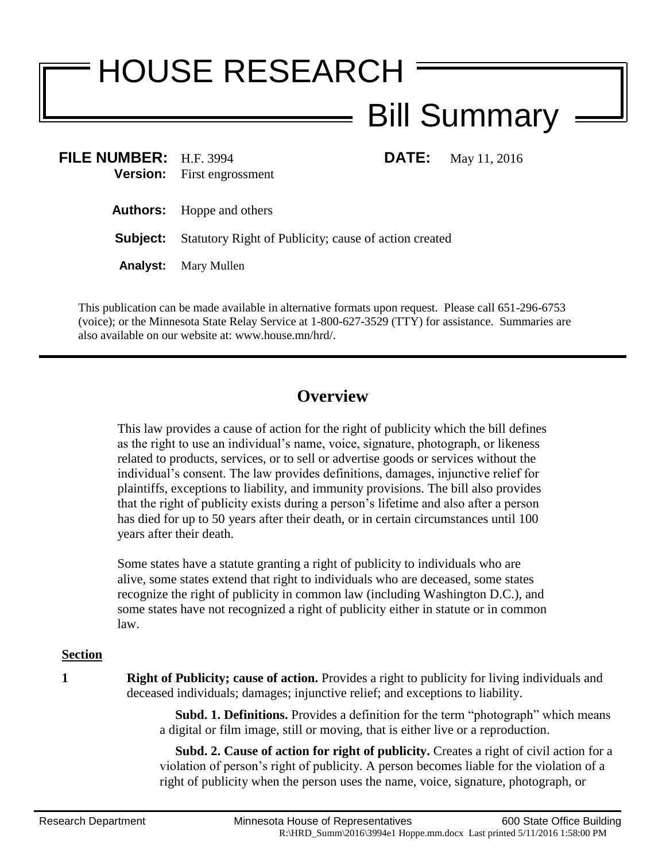# HOUSE RESEARCH Bill Summary

| FILE NUMBER: H.F. 3994 | <b>Version:</b> First engrossment                                     | <b>DATE:</b> May 11, 2016 |
|------------------------|-----------------------------------------------------------------------|---------------------------|
|                        | <b>Authors:</b> Hoppe and others                                      |                           |
|                        | <b>Subject:</b> Statutory Right of Publicity; cause of action created |                           |
|                        |                                                                       |                           |

**Analyst:** Mary Mullen

This publication can be made available in alternative formats upon request. Please call 651-296-6753 (voice); or the Minnesota State Relay Service at 1-800-627-3529 (TTY) for assistance. Summaries are also available on our website at: www.house.mn/hrd/.

# **Overview**

This law provides a cause of action for the right of publicity which the bill defines as the right to use an individual's name, voice, signature, photograph, or likeness related to products, services, or to sell or advertise goods or services without the individual's consent. The law provides definitions, damages, injunctive relief for plaintiffs, exceptions to liability, and immunity provisions. The bill also provides that the right of publicity exists during a person's lifetime and also after a person has died for up to 50 years after their death, or in certain circumstances until 100 years after their death.

Some states have a statute granting a right of publicity to individuals who are alive, some states extend that right to individuals who are deceased, some states recognize the right of publicity in common law (including Washington D.C.), and some states have not recognized a right of publicity either in statute or in common law.

## **Section**

**1 Right of Publicity; cause of action.** Provides a right to publicity for living individuals and deceased individuals; damages; injunctive relief; and exceptions to liability.

> **Subd. 1. Definitions.** Provides a definition for the term "photograph" which means a digital or film image, still or moving, that is either live or a reproduction.

> **Subd. 2. Cause of action for right of publicity.** Creates a right of civil action for a violation of person's right of publicity. A person becomes liable for the violation of a right of publicity when the person uses the name, voice, signature, photograph, or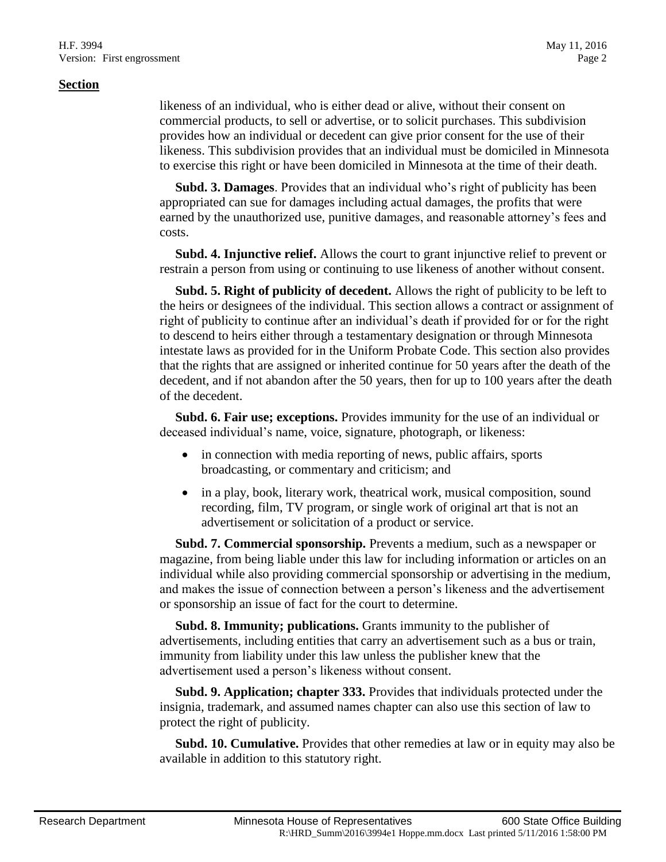#### **Section**

likeness of an individual, who is either dead or alive, without their consent on commercial products, to sell or advertise, or to solicit purchases. This subdivision provides how an individual or decedent can give prior consent for the use of their likeness. This subdivision provides that an individual must be domiciled in Minnesota to exercise this right or have been domiciled in Minnesota at the time of their death.

 **Subd. 3. Damages**. Provides that an individual who's right of publicity has been appropriated can sue for damages including actual damages, the profits that were earned by the unauthorized use, punitive damages, and reasonable attorney's fees and costs.

 **Subd. 4. Injunctive relief.** Allows the court to grant injunctive relief to prevent or restrain a person from using or continuing to use likeness of another without consent.

 **Subd. 5. Right of publicity of decedent.** Allows the right of publicity to be left to the heirs or designees of the individual. This section allows a contract or assignment of right of publicity to continue after an individual's death if provided for or for the right to descend to heirs either through a testamentary designation or through Minnesota intestate laws as provided for in the Uniform Probate Code. This section also provides that the rights that are assigned or inherited continue for 50 years after the death of the decedent, and if not abandon after the 50 years, then for up to 100 years after the death of the decedent.

 **Subd. 6. Fair use; exceptions.** Provides immunity for the use of an individual or deceased individual's name, voice, signature, photograph, or likeness:

- in connection with media reporting of news, public affairs, sports broadcasting, or commentary and criticism; and
- in a play, book, literary work, theatrical work, musical composition, sound recording, film, TV program, or single work of original art that is not an advertisement or solicitation of a product or service.

 **Subd. 7. Commercial sponsorship.** Prevents a medium, such as a newspaper or magazine, from being liable under this law for including information or articles on an individual while also providing commercial sponsorship or advertising in the medium, and makes the issue of connection between a person's likeness and the advertisement or sponsorship an issue of fact for the court to determine.

 **Subd. 8. Immunity; publications.** Grants immunity to the publisher of advertisements, including entities that carry an advertisement such as a bus or train, immunity from liability under this law unless the publisher knew that the advertisement used a person's likeness without consent.

 **Subd. 9. Application; chapter 333.** Provides that individuals protected under the insignia, trademark, and assumed names chapter can also use this section of law to protect the right of publicity.

 **Subd. 10. Cumulative.** Provides that other remedies at law or in equity may also be available in addition to this statutory right.